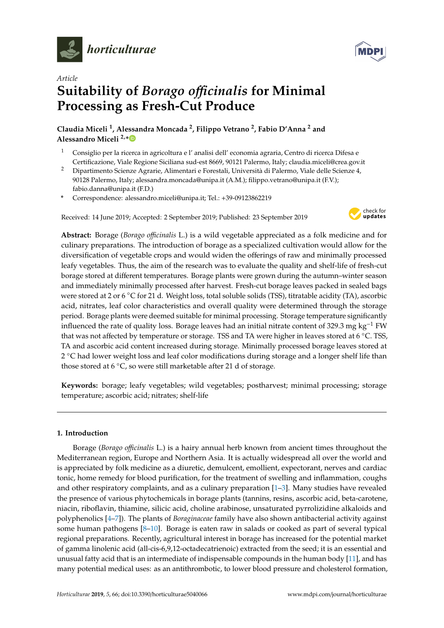

*Article*



# **Suitability of** *Borago o*ffi*cinalis* **for Minimal Processing as Fresh-Cut Produce**

**Claudia Miceli <sup>1</sup> , Alessandra Moncada <sup>2</sup> , Filippo Vetrano <sup>2</sup> , Fabio D'Anna <sup>2</sup> and Alessandro Miceli 2,[\\*](https://orcid.org/0000-0001-9034-1201)**

- <sup>1</sup> Consiglio per la ricerca in agricoltura e l'analisi dell' economia agraria, Centro di ricerca Difesa e Certificazione, Viale Regione Siciliana sud-est 8669, 90121 Palermo, Italy; claudia.miceli@crea.gov.it
- <sup>2</sup> Dipartimento Scienze Agrarie, Alimentari e Forestali, Università di Palermo, Viale delle Scienze 4, 90128 Palermo, Italy; alessandra.moncada@unipa.it (A.M.); filippo.vetrano@unipa.it (F.V.); fabio.danna@unipa.it (F.D.)
- **\*** Correspondence: alessandro.miceli@unipa.it; Tel.: +39-09123862219

Received: 14 June 2019; Accepted: 2 September 2019; Published: 23 September 2019



**Abstract:** Borage (*Borago o*ffi*cinalis* L.) is a wild vegetable appreciated as a folk medicine and for culinary preparations. The introduction of borage as a specialized cultivation would allow for the diversification of vegetable crops and would widen the offerings of raw and minimally processed leafy vegetables. Thus, the aim of the research was to evaluate the quality and shelf-life of fresh-cut borage stored at different temperatures. Borage plants were grown during the autumn–winter season and immediately minimally processed after harvest. Fresh-cut borage leaves packed in sealed bags were stored at 2 or 6 ℃ for 21 d. Weight loss, total soluble solids (TSS), titratable acidity (TA), ascorbic acid, nitrates, leaf color characteristics and overall quality were determined through the storage period. Borage plants were deemed suitable for minimal processing. Storage temperature significantly influenced the rate of quality loss. Borage leaves had an initial nitrate content of 329.3 mg kg<sup>-1</sup> FW that was not affected by temperature or storage. TSS and TA were higher in leaves stored at 6 ◦C. TSS, TA and ascorbic acid content increased during storage. Minimally processed borage leaves stored at 2 ◦C had lower weight loss and leaf color modifications during storage and a longer shelf life than those stored at 6 ◦C, so were still marketable after 21 d of storage.

**Keywords:** borage; leafy vegetables; wild vegetables; postharvest; minimal processing; storage temperature; ascorbic acid; nitrates; shelf-life

## **1. Introduction**

Borage (*Borago o*ffi*cinalis* L.) is a hairy annual herb known from ancient times throughout the Mediterranean region, Europe and Northern Asia. It is actually widespread all over the world and is appreciated by folk medicine as a diuretic, demulcent, emollient, expectorant, nerves and cardiac tonic, home remedy for blood purification, for the treatment of swelling and inflammation, coughs and other respiratory complaints, and as a culinary preparation [\[1–](#page-6-0)[3\]](#page-7-0). Many studies have revealed the presence of various phytochemicals in borage plants (tannins, resins, ascorbic acid, beta-carotene, niacin, riboflavin, thiamine, silicic acid, choline arabinose, unsaturated pyrrolizidine alkaloids and polyphenolics [\[4](#page-7-1)[–7\]](#page-7-2)). The plants of *Boraginaceae* family have also shown antibacterial activity against some human pathogens  $[8-10]$  $[8-10]$ . Borage is eaten raw in salads or cooked as part of several typical regional preparations. Recently, agricultural interest in borage has increased for the potential market of gamma linolenic acid (all-cis-6,9,12-octadecatrienoic) extracted from the seed; it is an essential and unusual fatty acid that is an intermediate of indispensable compounds in the human body [\[11\]](#page-7-5), and has many potential medical uses: as an antithrombotic, to lower blood pressure and cholesterol formation,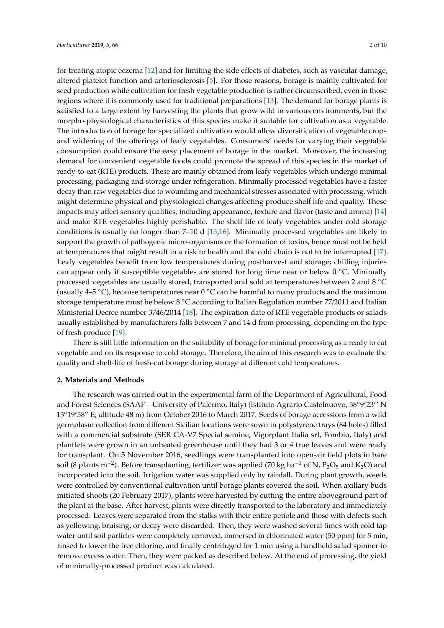for treating atopic eczema [\[12\]](#page-7-6) and for limiting the side effects of diabetes, such as vascular damage, altered platelet function and arteriosclerosis [\[5\]](#page-7-7). For those reasons, borage is mainly cultivated for seed production while cultivation for fresh vegetable production is rather circumscribed, even in those regions where it is commonly used for traditional preparations [\[13\]](#page-7-8). The demand for borage plants is satisfied to a large extent by harvesting the plants that grow wild in various environments, but the morpho-physiological characteristics of this species make it suitable for cultivation as a vegetable. The introduction of borage for specialized cultivation would allow diversification of vegetable crops and widening of the offerings of leafy vegetables. Consumers' needs for varying their vegetable consumption could ensure the easy placement of borage in the market. Moreover, the increasing demand for convenient vegetable foods could promote the spread of this species in the market of ready-to-eat (RTE) products. These are mainly obtained from leafy vegetables which undergo minimal processing, packaging and storage under refrigeration. Minimally processed vegetables have a faster decay than raw vegetables due to wounding and mechanical stresses associated with processing, which might determine physical and physiological changes affecting produce shelf life and quality. These impacts may affect sensory qualities, including appearance, texture and flavor (taste and aroma) [\[14\]](#page-7-9) and make RTE vegetables highly perishable. The shelf life of leafy vegetables under cold storage conditions is usually no longer than 7–10 d [\[15,](#page-7-10)[16\]](#page-7-11). Minimally processed vegetables are likely to support the growth of pathogenic micro-organisms or the formation of toxins, hence must not be held at temperatures that might result in a risk to health and the cold chain is not to be interrupted [\[17\]](#page-7-12). Leafy vegetables benefit from low temperatures during postharvest and storage; chilling injuries can appear only if susceptible vegetables are stored for long time near or below 0 ◦C. Minimally processed vegetables are usually stored, transported and sold at temperatures between 2 and 8 ◦C (usually 4–5 °C), because temperatures near 0 °C can be harmful to many products and the maximum storage temperature must be below 8 °C according to Italian Regulation number 77/2011 and Italian Ministerial Decree number 3746/2014 [\[18\]](#page-7-13). The expiration date of RTE vegetable products or salads usually established by manufacturers falls between 7 and 14 d from processing, depending on the type of fresh produce [\[19\]](#page-7-14).

There is still little information on the suitability of borage for minimal processing as a ready to eat vegetable and on its response to cold storage. Therefore, the aim of this research was to evaluate the quality and shelf-life of fresh-cut borage during storage at different cold temperatures.

#### **2. Materials and Methods**

The research was carried out in the experimental farm of the Department of Agricultural, Food and Forest Sciences (SAAF—University of Palermo, Italy) (Istituto Agrario Castelnuovo, 38°9'23'' N 13°19'58" E; altitude 48 m) from October 2016 to March 2017. Seeds of borage accessions from a wild germplasm collection from different Sicilian locations were sown in polystyrene trays (84 holes) filled with a commercial substrate (SER CA-V7 Special semine, Vigorplant Italia srl, Fombio, Italy) and plantlets were grown in an unheated greenhouse until they had 3 or 4 true leaves and were ready for transplant. On 5 November 2016, seedlings were transplanted into open-air field plots in bare soil (8 plants m<sup>-2</sup>). Before transplanting, fertilizer was applied (70 kg ha<sup>-1</sup> of N, P<sub>2</sub>O<sub>5</sub> and K<sub>2</sub>O) and incorporated into the soil. Irrigation water was supplied only by rainfall. During plant growth, weeds were controlled by conventional cultivation until borage plants covered the soil. When axillary buds initiated shoots (20 February 2017), plants were harvested by cutting the entire aboveground part of the plant at the base. After harvest, plants were directly transported to the laboratory and immediately processed. Leaves were separated from the stalks with their entire petiole and those with defects such as yellowing, bruising, or decay were discarded. Then, they were washed several times with cold tap water until soil particles were completely removed, immersed in chlorinated water (50 ppm) for 5 min, rinsed to lower the free chlorine, and finally centrifuged for 1 min using a handheld salad spinner to remove excess water. Then, they were packed as described below. At the end of processing, the yield of minimally-processed product was calculated.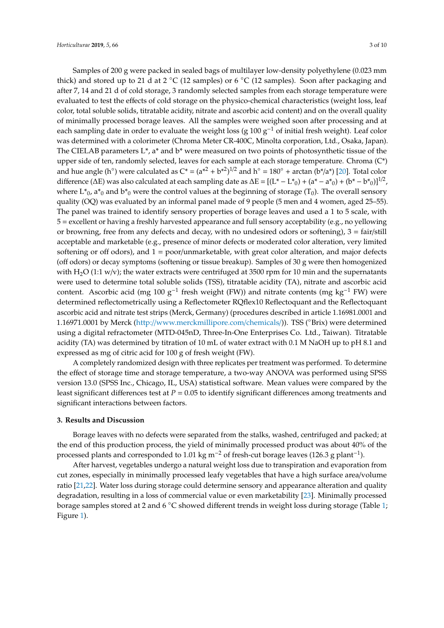Samples of 200 g were packed in sealed bags of multilayer low-density polyethylene (0.023 mm thick) and stored up to 21 d at 2  $°C$  (12 samples) or 6  $°C$  (12 samples). Soon after packaging and after 7, 14 and 21 d of cold storage, 3 randomly selected samples from each storage temperature were evaluated to test the effects of cold storage on the physico-chemical characteristics (weight loss, leaf color, total soluble solids, titratable acidity, nitrate and ascorbic acid content) and on the overall quality of minimally processed borage leaves. All the samples were weighed soon after processing and at each sampling date in order to evaluate the weight loss (g  $100 g^{-1}$  of initial fresh weight). Leaf color was determined with a colorimeter (Chroma Meter CR-400C, Minolta corporation, Ltd., Osaka, Japan). The CIELAB parameters  $L^*$ , a<sup>\*</sup> and  $b^*$  were measured on two points of photosynthetic tissue of the upper side of ten, randomly selected, leaves for each sample at each storage temperature. Chroma (C\*) and hue angle (h°) were calculated as  $C^* = (a^{*2} + b^{*2})^{1/2}$  and h° = 180° + arctan (b\*/a\*) [\[20\]](#page-7-15). Total color difference ( $\Delta E$ ) was also calculated at each sampling date as  $\Delta E = [(L^* - L^*_{0}) + (a^* - a^*_{0}) + (b^* - b^*_{0})]^{1/2}$ , where  $L_{0}^{*}$ , a $_{0}^{*}$  and  $b_{0}^{*}$  were the control values at the beginning of storage (T<sub>0</sub>). The overall sensory quality (OQ) was evaluated by an informal panel made of 9 people (5 men and 4 women, aged 25–55). The panel was trained to identify sensory properties of borage leaves and used a 1 to 5 scale, with 5 = excellent or having a freshly harvested appearance and full sensory acceptability (e.g., no yellowing or browning, free from any defects and decay, with no undesired odors or softening),  $3 = \frac{\text{fair}}{\text{still}}$ acceptable and marketable (e.g., presence of minor defects or moderated color alteration, very limited softening or off odors), and 1 = poor/unmarketable, with great color alteration, and major defects (off odors) or decay symptoms (softening or tissue breakup). Samples of 30 g were then homogenized with H<sub>2</sub>O (1:1 w/v); the water extracts were centrifuged at 3500 rpm for 10 min and the supernatants were used to determine total soluble solids (TSS), titratable acidity (TA), nitrate and ascorbic acid content. Ascorbic acid (mg 100  $g^{-1}$  fresh weight (FW)) and nitrate contents (mg kg<sup>-1</sup> FW) were determined reflectometrically using a Reflectometer RQflex10 Reflectoquant and the Reflectoquant ascorbic acid and nitrate test strips (Merck, Germany) (procedures described in article 1.16981.0001 and 1.16971.0001 by Merck (http://[www.merckmillipore.com](http://www.merckmillipore.com/chemicals/)/chemicals/)). TSS (◦Brix) were determined using a digital refractometer (MTD-045nD, Three-In-One Enterprises Co. Ltd., Taiwan). Titratable acidity (TA) was determined by titration of 10 mL of water extract with 0.1 M NaOH up to pH 8.1 and expressed as mg of citric acid for 100 g of fresh weight (FW).

A completely randomized design with three replicates per treatment was performed. To determine the effect of storage time and storage temperature, a two-way ANOVA was performed using SPSS version 13.0 (SPSS Inc., Chicago, IL, USA) statistical software. Mean values were compared by the least significant differences test at *P* = 0.05 to identify significant differences among treatments and significant interactions between factors.

### **3. Results and Discussion**

Borage leaves with no defects were separated from the stalks, washed, centrifuged and packed; at the end of this production process, the yield of minimally processed product was about 40% of the processed plants and corresponded to 1.01 kg m<sup>-2</sup> of fresh-cut borage leaves (126.3 g plant<sup>-1</sup>).

After harvest, vegetables undergo a natural weight loss due to transpiration and evaporation from cut zones, especially in minimally processed leafy vegetables that have a high surface area/volume ratio [\[21,](#page-7-16)[22\]](#page-7-17). Water loss during storage could determine sensory and appearance alteration and quality degradation, resulting in a loss of commercial value or even marketability [\[23\]](#page-7-18). Minimally processed borage samples stored at 2 and 6 °C showed different trends in weight loss during storage (Table [1;](#page-3-0) Figure [1\)](#page-3-1).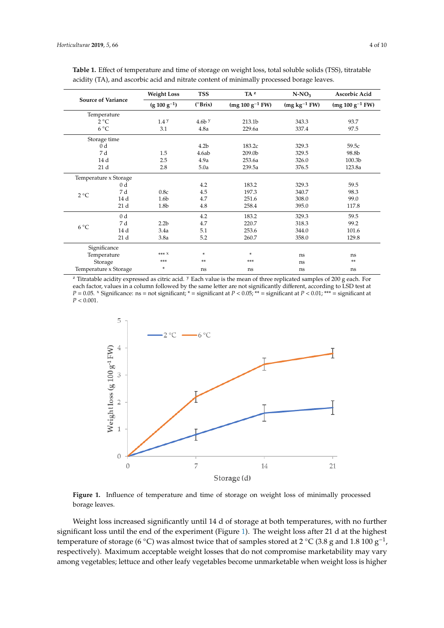| <b>Source of Variance</b><br>Temperature |                | <b>Weight Loss</b> | <b>TSS</b>       | $TA^z$               | $N-NO_3$       | Ascorbic Acid<br>$(mg 100 g^{-1} FW)$ |  |
|------------------------------------------|----------------|--------------------|------------------|----------------------|----------------|---------------------------------------|--|
|                                          |                | $(g 100 g^{-1})$   | $(^{\circ}Brix)$ | $(mg 100 g^{-1} FW)$ | $(mg kg-1 FW)$ |                                       |  |
|                                          |                |                    |                  |                      |                |                                       |  |
| $2^{\circ}C$                             |                | 1.4 <sup>y</sup>   | $4.6b$ y         | 213.1b               | 343.3          | 93.7                                  |  |
| $6^{\circ}$ C                            |                | 3.1                | 4.8a             | 229.6a               | 337.4          | 97.5                                  |  |
| Storage time                             |                |                    |                  |                      |                |                                       |  |
| 0 d                                      |                |                    | 4.2 <sub>b</sub> | 183.2c               | 329.3          | 59.5c                                 |  |
| 7 d                                      |                | 1.5                | 4.6ab            | 209.0b               | 329.5          | 98.8b                                 |  |
| 14 d                                     |                | 2.5                | 4.9a             | 253.6a               | 326.0          | 100.3b                                |  |
| 21 d                                     |                | 2.8                | 5.0a             | 239.5a               | 376.5          | 123.8a                                |  |
| Temperature x Storage                    |                |                    |                  |                      |                |                                       |  |
| $2^{\circ}C$                             | 0 <sub>d</sub> |                    | 4.2              | 183.2                | 329.3          | 59.5                                  |  |
|                                          | 7 d            | 0.8c               | 4.5              | 197.3                | 340.7          | 98.3                                  |  |
|                                          | 14 d           | 1.6 <sub>b</sub>   | 4.7              | 251.6                | 308.0          | 99.0                                  |  |
|                                          | 21 d           | 1.8b               | 4.8              | 258.4                | 395.0          | 117.8                                 |  |
| $6^{\circ}C$                             | 0 <sub>d</sub> |                    | 4.2              | 183.2                | 329.3          | 59.5                                  |  |
|                                          | 7 d            | 2.2 <sub>b</sub>   | 4.7              | 220.7                | 318.3          | 99.2                                  |  |
|                                          | 14 d           | 3.4a               | 5.1              | 253.6                | 344.0          | 101.6                                 |  |
|                                          | 21d            | 3.8a               | 5.2              | 260.7                | 358.0          | 129.8                                 |  |
| Significance                             |                |                    |                  |                      |                |                                       |  |
| Temperature                              |                | $*** X$            | $\ast$           | ×.<br>ns             |                | ns                                    |  |
| Storage                                  |                | ***                | $**$             | $***$                | ns             | $**$                                  |  |
| Temperature x Storage                    |                | *                  | ns               | ns                   | ns             | ns                                    |  |

<span id="page-3-0"></span>

| Table 1. Effect of temperature and time of storage on weight loss, total soluble solids (TSS), titratable |
|-----------------------------------------------------------------------------------------------------------|
| acidity (TA), and ascorbic acid and nitrate content of minimally processed borage leaves.                 |

 $\frac{18}{\frac{20}{\pi}}$  Titratable acidity expressed as citric acid. <sup>y</sup> Each value is the mean of three replicated samples of 200 g each. For riduable actury expressed as cline actu. Then winder is the mean or three replicated samples of 200 g cach. To<br>each factor, values in a column followed by the same letter are not significantly different, according to LSD t  $P = 0.05$ .  $\frac{x}{2}$  Significance: ns = not significant;  $\frac{x}{2}$  = significant at  $P < 0.05$ ;  $\frac{x}{2}$  = significant at  $P < 0.01$ ;  $\frac{x}{2}$  = significant at  $P<0.001.$  $r < 0.001$ .

<span id="page-3-1"></span>

Figure 1. Influence of temperature and time of storage on weight loss of minimally processed borage leaves.

Weight loss increased significantly until 14 d of storage at both temperatures, with no further significant loss until the end of the experiment (Figure [1\)](#page-3-1). The weight loss after 21 d at the highest temperature of storage (6 °C) was almost twice that of samples stored at 2 °C (3.8 g and 1.8 100  $g^{-1}$ , respectively). Maximum acceptable weight losses that do not compromise marketability may vary among vegetables; lettuce and other leafy vegetables become unmarketable when weight loss is higher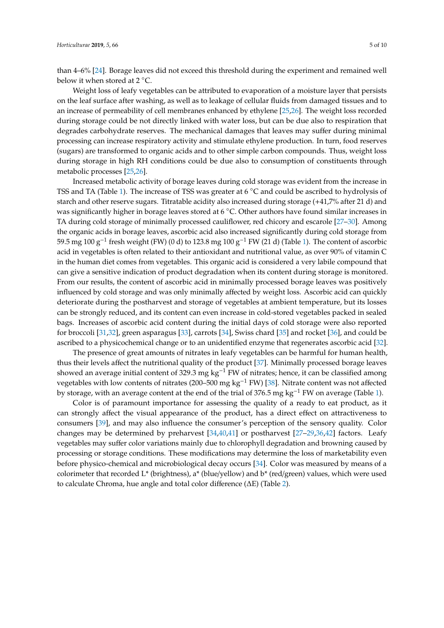than 4–6% [\[24\]](#page-7-19). Borage leaves did not exceed this threshold during the experiment and remained well below it when stored at 2 °C.

Weight loss of leafy vegetables can be attributed to evaporation of a moisture layer that persists on the leaf surface after washing, as well as to leakage of cellular fluids from damaged tissues and to an increase of permeability of cell membranes enhanced by ethylene [\[25,](#page-7-20)[26\]](#page-8-0). The weight loss recorded during storage could be not directly linked with water loss, but can be due also to respiration that degrades carbohydrate reserves. The mechanical damages that leaves may suffer during minimal processing can increase respiratory activity and stimulate ethylene production. In turn, food reserves (sugars) are transformed to organic acids and to other simple carbon compounds. Thus, weight loss during storage in high RH conditions could be due also to consumption of constituents through metabolic processes [\[25,](#page-7-20)[26\]](#page-8-0).

Increased metabolic activity of borage leaves during cold storage was evident from the increase in TSS and TA (Table [1\)](#page-3-0). The increase of TSS was greater at 6 ◦C and could be ascribed to hydrolysis of starch and other reserve sugars. Titratable acidity also increased during storage (+41,7% after 21 d) and was significantly higher in borage leaves stored at 6 °C. Other authors have found similar increases in TA during cold storage of minimally processed cauliflower, red chicory and escarole [\[27](#page-8-1)[–30\]](#page-8-2). Among the organic acids in borage leaves, ascorbic acid also increased significantly during cold storage from 59.5 mg 100 g−<sup>1</sup> fresh weight (FW) (0 d) to 123.8 mg 100 g−<sup>1</sup> FW (21 d) (Table [1\)](#page-3-0). The content of ascorbic acid in vegetables is often related to their antioxidant and nutritional value, as over 90% of vitamin C in the human diet comes from vegetables. This organic acid is considered a very labile compound that can give a sensitive indication of product degradation when its content during storage is monitored. From our results, the content of ascorbic acid in minimally processed borage leaves was positively influenced by cold storage and was only minimally affected by weight loss. Ascorbic acid can quickly deteriorate during the postharvest and storage of vegetables at ambient temperature, but its losses can be strongly reduced, and its content can even increase in cold-stored vegetables packed in sealed bags. Increases of ascorbic acid content during the initial days of cold storage were also reported for broccoli [\[31](#page-8-3)[,32\]](#page-8-4), green asparagus [\[33\]](#page-8-5), carrots [\[34\]](#page-8-6), Swiss chard [\[35\]](#page-8-7) and rocket [\[36\]](#page-8-8), and could be ascribed to a physicochemical change or to an unidentified enzyme that regenerates ascorbic acid [\[32\]](#page-8-4).

The presence of great amounts of nitrates in leafy vegetables can be harmful for human health, thus their levels affect the nutritional quality of the product [\[37\]](#page-8-9). Minimally processed borage leaves showed an average initial content of 329.3 mg kg<sup>-1</sup> FW of nitrates; hence, it can be classified among vegetables with low contents of nitrates (200–500 mg kg<sup>-1</sup> FW) [\[38\]](#page-8-10). Nitrate content was not affected by storage, with an average content at the end of the trial of 376.5 mg kg−<sup>1</sup> FW on average (Table [1\)](#page-3-0).

Color is of paramount importance for assessing the quality of a ready to eat product, as it can strongly affect the visual appearance of the product, has a direct effect on attractiveness to consumers [\[39\]](#page-8-11), and may also influence the consumer's perception of the sensory quality. Color changes may be determined by preharvest [\[34,](#page-8-6)[40](#page-8-12)[,41\]](#page-8-13) or postharvest [\[27](#page-8-1)[–29](#page-8-14)[,36](#page-8-8)[,42\]](#page-8-15) factors. Leafy vegetables may suffer color variations mainly due to chlorophyll degradation and browning caused by processing or storage conditions. These modifications may determine the loss of marketability even before physico-chemical and microbiological decay occurs [\[34\]](#page-8-6). Color was measured by means of a colorimeter that recorded L\* (brightness), a\* (blue/yellow) and b\* (red/green) values, which were used to calculate Chroma, hue angle and total color difference (∆E) (Table [2\)](#page-5-0).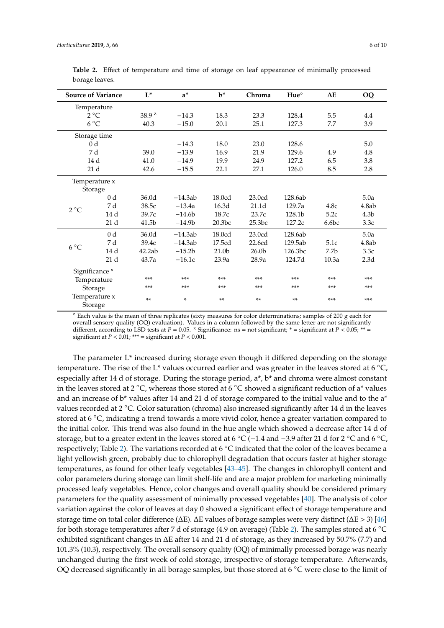| <b>Source of Variance</b> |                 | $L^*$             | $a^*$     | $\mathbf{b}^*$    | Chroma            | $Hue^{\circ}$ | $\Delta E$       | OQ               |  |  |
|---------------------------|-----------------|-------------------|-----------|-------------------|-------------------|---------------|------------------|------------------|--|--|
| Temperature               |                 |                   |           |                   |                   |               |                  |                  |  |  |
| $2^{\circ}C$              |                 | 38.9 <sup>z</sup> | $-14.3$   | 18.3              | 23.3              | 128.4         | 5.5              | 4.4              |  |  |
| $6^{\circ}C$              |                 | 40.3              | $-15.0$   | 20.1              | 25.1              | 127.3         | 7.7              | 3.9              |  |  |
| Storage time              |                 |                   |           |                   |                   |               |                  |                  |  |  |
| 0 <sub>d</sub>            |                 |                   | $-14.3$   | 18.0              | 23.0              | 128.6         |                  | 5.0              |  |  |
| 7 d                       |                 | 39.0              | $-13.9$   | 16.9              | 21.9              | 129.6         | 4.9              | 4.8              |  |  |
| 14d                       |                 | 41.0              | $-14.9$   | 19.9              | 24.9              | 127.2         | 6.5              | 3.8              |  |  |
| 21 <sub>d</sub>           |                 | 42.6              | $-15.5$   | 22.1              | 27.1              | 126.0         | 8.5              | 2.8              |  |  |
| Temperature x             |                 |                   |           |                   |                   |               |                  |                  |  |  |
| Storage                   |                 |                   |           |                   |                   |               |                  |                  |  |  |
| $2^{\circ}C$              | 0 <sub>d</sub>  | 36.0d             | $-14.3ab$ | 18.0cd            | 23.0cd            | 128.6ab       |                  | 5.0a             |  |  |
|                           | 7 d             | 38.5c             | $-13.4a$  | 16.3d             | 21.1 <sub>d</sub> | 129.7a        | 4.8c             | 4.8ab            |  |  |
|                           | 14d             | 39.7c             | $-14.6b$  | 18.7c             | 23.7c             | 128.1b        | 5.2c             | 4.3 <sub>b</sub> |  |  |
|                           | 21 <sub>d</sub> | 41.5b             | $-14.9b$  | 20.3bc            | 25.3bc            | 127.2c        | 6.6bc            | 3.3c             |  |  |
| $6^{\circ}$ C             | 0 <sub>d</sub>  | 36.0d             | $-14.3ab$ | 18.0cd            | 23.0cd            | 128.6ab       |                  | 5.0a             |  |  |
|                           | 7 d             | 39.4c             | $-14.3ab$ | 17.5cd            | 22.6cd            | 129.5ab       | 5.1c             | 4.8ab            |  |  |
|                           | 14d             | 42.2ab            | $-15.2b$  | 21.0 <sub>b</sub> | 26.0 <sub>b</sub> | 126.3bc       | 7.7 <sub>b</sub> | 3.3c             |  |  |
|                           | 21 <sub>d</sub> | 43.7a             | $-16.1c$  | 23.9a             | 28.9a             | 124.7d        | 10.3a            | 2.3d             |  |  |
| Significance <sup>x</sup> |                 |                   |           |                   |                   |               |                  |                  |  |  |
| Temperature               |                 | ***               | ***       | ***               | ***               | ***           | ***              | ***              |  |  |
| Storage                   |                 | ***               | ***       | ***               | ***               | ***           | ***              | ***              |  |  |
| Temperature x<br>Storage  |                 | **                | *         | **                | **                | **            | ***              | ***              |  |  |

<span id="page-5-0"></span>**Table 2.** Effect of temperature and time of storage on leaf appearance of minimally processed borage leaves.

 $z$  Each value is the mean of three replicates (sixty measures for color determinations; samples of 200 g each for overall sensory quality (OQ) evaluation). Values in a column followed by the same letter are not significantly different, according to LSD tests at  $P = 0.05$ .  $^{\circ}$  Significance: ns = not significant;  $^*$  = significant at  $P < 0.05$ ;  $^{**}$  = significant at  $P < 0.01$ ; \*\*\* = significant at  $P < 0.001$ .

The parameter L\* increased during storage even though it differed depending on the storage temperature. The rise of the L\* values occurred earlier and was greater in the leaves stored at 6 °C, especially after 14 d of storage. During the storage period, a\*, b\* and chroma were almost constant in the leaves stored at 2 °C, whereas those stored at 6 °C showed a significant reduction of a\* values and an increase of  $b^*$  values after 14 and 21 d of storage compared to the initial value and to the  $a^*$ values recorded at 2 ◦C. Color saturation (chroma) also increased significantly after 14 d in the leaves stored at 6 ◦C, indicating a trend towards a more vivid color, hence a greater variation compared to the initial color. This trend was also found in the hue angle which showed a decrease after 14 d of storage, but to a greater extent in the leaves stored at 6 °C (−1.4 and −3.9 after 21 d for 2 °C and 6 °C, respectively; Table [2\)](#page-5-0). The variations recorded at 6 ◦C indicated that the color of the leaves became a light yellowish green, probably due to chlorophyll degradation that occurs faster at higher storage temperatures, as found for other leafy vegetables [\[43–](#page-8-16)[45\]](#page-8-17). The changes in chlorophyll content and color parameters during storage can limit shelf-life and are a major problem for marketing minimally processed leafy vegetables. Hence, color changes and overall quality should be considered primary parameters for the quality assessment of minimally processed vegetables [\[40\]](#page-8-12). The analysis of color variation against the color of leaves at day 0 showed a significant effect of storage temperature and storage time on total color difference (∆E). ∆E values of borage samples were very distinct (∆E > 3) [\[46\]](#page-8-18) for both storage temperatures after 7 d of storage (4.9 on average) (Table [2\)](#page-5-0). The samples stored at 6 ◦<sup>C</sup> exhibited significant changes in ∆E after 14 and 21 d of storage, as they increased by 50.7% (7.7) and 101.3% (10.3), respectively. The overall sensory quality (OQ) of minimally processed borage was nearly unchanged during the first week of cold storage, irrespective of storage temperature. Afterwards, OQ decreased significantly in all borage samples, but those stored at 6 ◦C were close to the limit of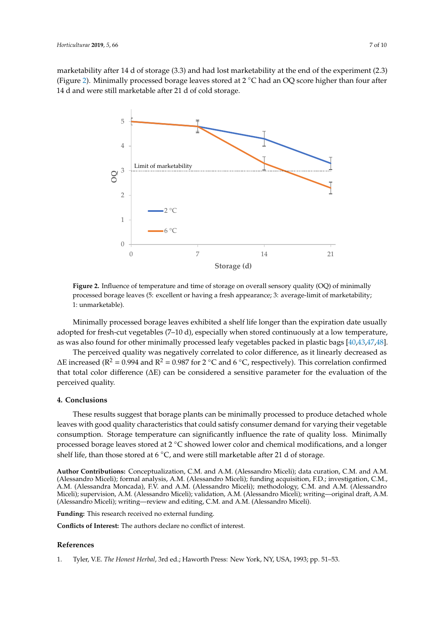<span id="page-6-1"></span>marketability after 14 d of storage  $(3.3)$  and had lost marketability at the end of the experiment  $(2.3)$ (Figure 2). Minimally processed borage leaves stored at 2 °C had an OQ score higher than four after 14 d and were still marketable after 21 d of cold storage.



**Figure 2.** Influence of temperature and time of storage on overall sensory quality (OQ) of minimally **Figure 2.** Influence of temperature and time of storage on overall sensory quality (OQ) of minimally processed borage leaves (5: excellent or having a fresh appearance; 3: average-limit of marketability; processed borage leaves (5: excellent or having a fresh appearance; 3: average-limit of marketability; 1: unmarketable). 1: unmarketable).

Minimally processed borage leaves exhibited a shelf life longer than the expiration date usually Minimally processed borage leaves exhibited a shelf life longer than the expiration date usually adopted for fresh-cut vegetables (7–10 d), especially when stored continuously at a low temperature, adopted for fresh-cut vegetables (7–10 d), especially when stored continuously at a low temperature, as was also found for other minimally processed leafy vegetables packed in plastic bags [40,43,47– as was also found for other minimally processed leafy vegetables packed in plastic bags [\[40,](#page-8-12)[43,](#page-8-16)[47,](#page-9-0)[48\]](#page-9-1).

 $\overline{a}$ . ∆E increased (R<sup>2</sup> = 0.994 and R<sup>2</sup> = 0.987 for 2 °C and 6 °C, respectively). This correlation confirmed that total color difference ( $\Delta E$ ) can be considered a sensitive parameter for the evaluation of the  $t_{\text{rel}}$  color difference ( $\alpha$  sensitive parameter for the evaluation of the evaluation of the evaluation of the evaluation of the evaluation of the evaluation of the evaluation of the evaluation of the evaluation of th The perceived quality was negatively correlated to color difference, as it linearly decreased as perceived quality.

# **4. Conclusions**

**4. Conclusions** These results suggest that borage plants can be minimally processed to produce detached whole For the transport quality can be consumed that constraints  $\frac{1}{2}$  consumed to examination  $\frac{1}{2}$  and  $\frac{1}{2}$  and  $\frac{1}{2}$  consumption. Storage temperature can significantly influence the rate of quality loss. Mini processed borage leaves stored at 2 °C showed lower color and chemical modifications, and a longer procedure crigorem to exercising the rate of  $\sim$  consumed at  $\sim$  and were still marketable after 21 d of storage. leaves with good quality characteristics that could satisfy consumer demand for varying their vegetable

**Author Contributions:** Conceptualization, C.M. and A.M. (Alessandro Miceli); data curation, C.M. and A.M. (Alessandro Miceli); formal analysis, A.M. (Alessandro Miceli); funding acquisition, F.D.; investigation, C.M., A.M. (Alessandra Moncada), F.V. and A.M. (Alessandro Miceli); methodology, C.M. and A.M. (Alessandro Miceli); supervision, A.M. (Alessandro Miceli); validation, A.M. (Alessandro Miceli); writing—original draft, A.M. (Alessandro Miceli); writing—review and editing, C.M. and A.M. (Alessandro Miceli).

**Funding:** This research received no external funding.

**Conflicts of Interest:** The authors declare no conflict of interest.

#### **References**

<span id="page-6-0"></span>1. Tyler, V.E. *The Honest Herbal*, 3rd ed.; Haworth Press: New York, NY, USA, 1993; pp. 51–53.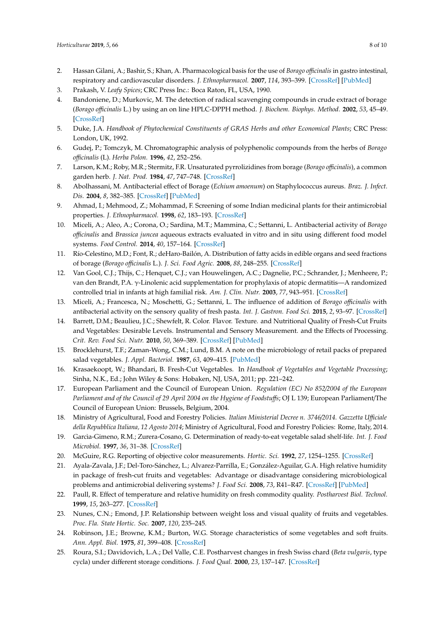- 2. Hassan Gilani, A.; Bashir, S.; Khan, A. Pharmacological basis for the use of *Borago o*ffi*cinalis* in gastro intestinal, respiratory and cardiovascular disorders. *J. Ethnopharmacol.* **2007**, *114*, 393–399. [\[CrossRef\]](http://dx.doi.org/10.1016/j.jep.2007.08.032) [\[PubMed\]](http://www.ncbi.nlm.nih.gov/pubmed/17900837)
- <span id="page-7-0"></span>3. Prakash, V. *Leafy Spices*; CRC Press Inc.: Boca Raton, FL, USA, 1990.
- <span id="page-7-1"></span>4. Bandoniene, D.; Murkovic, M. The detection of radical scavenging compounds in crude extract of borage (*Borago o*ffi*cinalis* L.) by using an on line HPLC-DPPH method. *J. Biochem. Biophys. Method.* **2002**, *53*, 45–49. [\[CrossRef\]](http://dx.doi.org/10.1016/S0165-022X(02)00091-X)
- <span id="page-7-7"></span>5. Duke, J.A. *Handbook of Phytochemical Constituents of GRAS Herbs and other Economical Plants*; CRC Press: London, UK, 1992.
- 6. Gudej, P.; Tomczyk, M. Chromatographic analysis of polyphenolic compounds from the herbs of *Borago o*ffi*cinalis* (L). *Herba Polon.* **1996**, *42*, 252–256.
- <span id="page-7-2"></span>7. Larson, K.M.; Roby, M.R.; Stermitz, F.R. Unsaturated pyrrolizidines from borage (*Borago o*ffi*cinalis*), a common garden herb. *J. Nat. Prod.* **1984**, *47*, 747–748. [\[CrossRef\]](http://dx.doi.org/10.1021/np50034a045)
- <span id="page-7-3"></span>8. Abolhassani, M. Antibacterial effect of Borage (*Echium amoenum*) on Staphylococcus aureus. *Braz. J. Infect. Dis.* **2004**, *8*, 382–385. [\[CrossRef\]](http://dx.doi.org/10.1590/S1413-86702004000500008) [\[PubMed\]](http://www.ncbi.nlm.nih.gov/pubmed/15798815)
- 9. Ahmad, I.; Mehmood, Z.; Mohammad, F. Screening of some Indian medicinal plants for their antimicrobial properties. *J. Ethnopharmacol.* **1998**, *62*, 183–193. [\[CrossRef\]](http://dx.doi.org/10.1016/S0378-8741(98)00055-5)
- <span id="page-7-4"></span>10. Miceli, A.; Aleo, A.; Corona, O.; Sardina, M.T.; Mammina, C.; Settanni, L. Antibacterial activity of *Borago o*ffi*cinalis* and *Brassica juncea* aqueous extracts evaluated in vitro and in situ using different food model systems. *Food Control.* **2014**, *40*, 157–164. [\[CrossRef\]](http://dx.doi.org/10.1016/j.foodcont.2013.12.006)
- <span id="page-7-5"></span>11. Río-Celestino, M.D.; Font, R.; deHaro-Bailón, A. Distribution of fatty acids in edible organs and seed fractions of borage (*Borago o*ffi*cinalis* L.). *J. Sci. Food Agric.* **2008**, *88*, 248–255. [\[CrossRef\]](http://dx.doi.org/10.1002/jsfa.3080)
- <span id="page-7-6"></span>12. Van Gool, C.J.; Thijs, C.; Henquet, C.J.; van Houwelingen, A.C.; Dagnelie, P.C.; Schrander, J.; Menheere, P.; van den Brandt, P.A. γ-Linolenic acid supplementation for prophylaxis of atopic dermatitis—A randomized controlled trial in infants at high familial risk. *Am. J. Clin. Nutr.* **2003**, *77*, 943–951. [\[CrossRef\]](http://dx.doi.org/10.1093/ajcn/77.4.943)
- <span id="page-7-8"></span>13. Miceli, A.; Francesca, N.; Moschetti, G.; Settanni, L. The influence of addition of *Borago o*ffi*cinalis* with antibacterial activity on the sensory quality of fresh pasta. *Int. J. Gastron. Food Sci.* **2015**, *2*, 93–97. [\[CrossRef\]](http://dx.doi.org/10.1016/j.ijgfs.2014.12.004)
- <span id="page-7-9"></span>14. Barrett, D.M.; Beaulieu, J.C.; Shewfelt, R. Color. Flavor. Texture. and Nutritional Quality of Fresh-Cut Fruits and Vegetables: Desirable Levels. Instrumental and Sensory Measurement. and the Effects of Processing. *Crit. Rev. Food Sci. Nutr.* **2010**, *50*, 369–389. [\[CrossRef\]](http://dx.doi.org/10.1080/10408391003626322) [\[PubMed\]](http://www.ncbi.nlm.nih.gov/pubmed/20373184)
- <span id="page-7-10"></span>15. Brocklehurst, T.F.; Zaman-Wong, C.M.; Lund, B.M. A note on the microbiology of retail packs of prepared salad vegetables. *J. Appl. Bacteriol.* **1987**, *63*, 409–415. [\[PubMed\]](http://www.ncbi.nlm.nih.gov/pubmed/3126172)
- <span id="page-7-11"></span>16. Krasaekoopt, W.; Bhandari, B. Fresh-Cut Vegetables. In *Handbook of Vegetables and Vegetable Processing*; Sinha, N.K., Ed.; John Wiley & Sons: Hobaken, NJ, USA, 2011; pp. 221–242.
- <span id="page-7-12"></span>17. European Parliament and the Council of European Union. *Regulation (EC) No 852*/*2004 of the European Parliament and of the Council of 29 April 2004 on the Hygiene of Foodstu*ff*s*; OJ L 139; European Parliament/The Council of European Union: Brussels, Belgium, 2004.
- <span id="page-7-13"></span>18. Ministry of Agricultural, Food and Forestry Policies. *Italian Ministerial Decree n. 3746*/*2014. Gazzetta U*ffi*ciale della Repubblica Italiana, 12 Agosto 2014*; Ministry of Agricultural, Food and Forestry Policies: Rome, Italy, 2014.
- <span id="page-7-14"></span>19. Garcìa-Gimeno, R.M.; Zurera-Cosano, G. Determination of ready-to-eat vegetable salad shelf-life. *Int. J. Food Microbiol.* **1997**, *36*, 31–38. [\[CrossRef\]](http://dx.doi.org/10.1016/S0168-1605(96)01238-X)
- <span id="page-7-15"></span>20. McGuire, R.G. Reporting of objective color measurements. *Hortic. Sci.* **1992**, *27*, 1254–1255. [\[CrossRef\]](http://dx.doi.org/10.21273/HORTSCI.27.12.1254)
- <span id="page-7-16"></span>21. Ayala-Zavala, J.F.; Del-Toro-Sánchez, L.; Alvarez-Parrilla, E.; González-Aguilar, G.A. High relative humidity in package of fresh-cut fruits and vegetables: Advantage or disadvantage considering microbiological problems and antimicrobial delivering systems? *J. Food Sci.* **2008**, *73*, R41–R47. [\[CrossRef\]](http://dx.doi.org/10.1111/j.1750-3841.2008.00705.x) [\[PubMed\]](http://www.ncbi.nlm.nih.gov/pubmed/18460138)
- <span id="page-7-17"></span>22. Paull, R. Effect of temperature and relative humidity on fresh commodity quality. *Postharvest Biol. Technol.* **1999**, *15*, 263–277. [\[CrossRef\]](http://dx.doi.org/10.1016/S0925-5214(98)00090-8)
- <span id="page-7-18"></span>23. Nunes, C.N.; Emond, J.P. Relationship between weight loss and visual quality of fruits and vegetables. *Proc. Fla. State Hortic. Soc.* **2007**, *120*, 235–245.
- <span id="page-7-19"></span>24. Robinson, J.E.; Browne, K.M.; Burton, W.G. Storage characteristics of some vegetables and soft fruits. *Ann. Appl. Biol.* **1975**, *81*, 399–408. [\[CrossRef\]](http://dx.doi.org/10.1111/j.1744-7348.1975.tb01656.x)
- <span id="page-7-20"></span>25. Roura, S.I.; Davidovich, L.A.; Del Valle, C.E. Postharvest changes in fresh Swiss chard (*Beta vulgaris*, type cycla) under different storage conditions. *J. Food Qual.* **2000**, *23*, 137–147. [\[CrossRef\]](http://dx.doi.org/10.1111/j.1745-4557.2000.tb00201.x)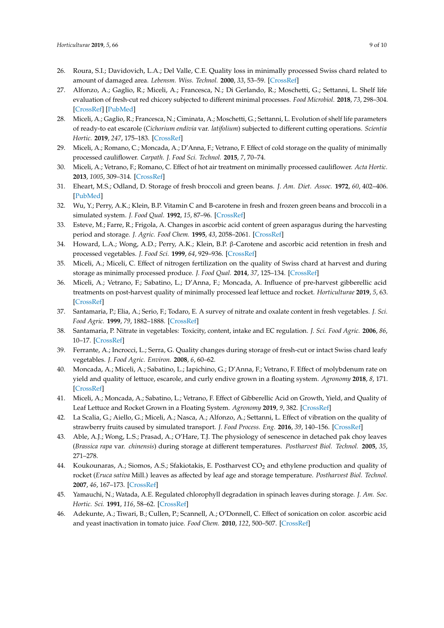- <span id="page-8-0"></span>26. Roura, S.I.; Davidovich, L.A.; Del Valle, C.E. Quality loss in minimally processed Swiss chard related to amount of damaged area. *Lebensm. Wiss. Technol.* **2000**, *33*, 53–59. [\[CrossRef\]](http://dx.doi.org/10.1006/fstl.1999.0615)
- <span id="page-8-1"></span>27. Alfonzo, A.; Gaglio, R.; Miceli, A.; Francesca, N.; Di Gerlando, R.; Moschetti, G.; Settanni, L. Shelf life evaluation of fresh-cut red chicory subjected to different minimal processes. *Food Microbiol.* **2018**, *73*, 298–304. [\[CrossRef\]](http://dx.doi.org/10.1016/j.fm.2018.02.008) [\[PubMed\]](http://www.ncbi.nlm.nih.gov/pubmed/29526216)
- 28. Miceli, A.; Gaglio, R.; Francesca, N.; Ciminata, A.; Moschetti, G.; Settanni, L. Evolution of shelf life parameters of ready-to eat escarole (*Cichorium endivia* var. *latifolium*) subjected to different cutting operations. *Scientia Hortic.* **2019**, *247*, 175–183. [\[CrossRef\]](http://dx.doi.org/10.1016/j.scienta.2018.12.023)
- <span id="page-8-14"></span>29. Miceli, A.; Romano, C.; Moncada, A.; D'Anna, F.; Vetrano, F. Effect of cold storage on the quality of minimally processed cauliflower. *Carpath. J. Food Sci. Technol.* **2015**, *7*, 70–74.
- <span id="page-8-2"></span>30. Miceli, A.; Vetrano, F.; Romano, C. Effect of hot air treatment on minimally processed cauliflower. *Acta Hortic.* **2013**, *1005*, 309–314. [\[CrossRef\]](http://dx.doi.org/10.17660/ActaHortic.2013.1005.35)
- <span id="page-8-3"></span>31. Eheart, M.S.; Odland, D. Storage of fresh broccoli and green beans. *J. Am. Diet. Assoc.* **1972**, *60*, 402–406. [\[PubMed\]](http://www.ncbi.nlm.nih.gov/pubmed/5018370)
- <span id="page-8-4"></span>32. Wu, Y.; Perry, A.K.; Klein, B.P. Vitamin C and B-carotene in fresh and frozen green beans and broccoli in a simulated system. *J. Food Qual.* **1992**, *15*, 87–96. [\[CrossRef\]](http://dx.doi.org/10.1111/j.1745-4557.1992.tb00977.x)
- <span id="page-8-5"></span>33. Esteve, M.; Farre, R.; Frigola, A. Changes in ascorbic acid content of green asparagus during the harvesting period and storage. *J. Agric. Food Chem.* **1995**, *43*, 2058–2061. [\[CrossRef\]](http://dx.doi.org/10.1021/jf00056a019)
- <span id="page-8-6"></span>34. Howard, L.A.; Wong, A.D.; Perry, A.K.; Klein, B.P. β-Carotene and ascorbic acid retention in fresh and processed vegetables. *J. Food Sci.* **1999**, *64*, 929–936. [\[CrossRef\]](http://dx.doi.org/10.1111/j.1365-2621.1999.tb15943.x)
- <span id="page-8-7"></span>35. Miceli, A.; Miceli, C. Effect of nitrogen fertilization on the quality of Swiss chard at harvest and during storage as minimally processed produce. *J. Food Qual.* **2014**, *37*, 125–134. [\[CrossRef\]](http://dx.doi.org/10.1111/jfq.12073)
- <span id="page-8-8"></span>36. Miceli, A.; Vetrano, F.; Sabatino, L.; D'Anna, F.; Moncada, A. Influence of pre-harvest gibberellic acid treatments on post-harvest quality of minimally processed leaf lettuce and rocket. *Horticulturae* **2019**, *5*, 63. [\[CrossRef\]](http://dx.doi.org/10.3390/horticulturae5030063)
- <span id="page-8-9"></span>37. Santamaria, P.; Elia, A.; Serio, F.; Todaro, E. A survey of nitrate and oxalate content in fresh vegetables. *J. Sci. Food Agric.* **1999**, *79*, 1882–1888. [\[CrossRef\]](http://dx.doi.org/10.1002/(SICI)1097-0010(199910)79:13<1882::AID-JSFA450>3.0.CO;2-D)
- <span id="page-8-10"></span>38. Santamaria, P. Nitrate in vegetables: Toxicity, content, intake and EC regulation. *J. Sci. Food Agric.* **2006**, *86*, 10–17. [\[CrossRef\]](http://dx.doi.org/10.1002/jsfa.2351)
- <span id="page-8-11"></span>39. Ferrante, A.; Incrocci, L.; Serra, G. Quality changes during storage of fresh-cut or intact Swiss chard leafy vegetables. *J. Food Agric. Environ.* **2008**, *6*, 60–62.
- <span id="page-8-12"></span>40. Moncada, A.; Miceli, A.; Sabatino, L.; Iapichino, G.; D'Anna, F.; Vetrano, F. Effect of molybdenum rate on yield and quality of lettuce, escarole, and curly endive grown in a floating system. *Agronomy* **2018**, *8*, 171. [\[CrossRef\]](http://dx.doi.org/10.3390/agronomy8090171)
- <span id="page-8-13"></span>41. Miceli, A.; Moncada, A.; Sabatino, L.; Vetrano, F. Effect of Gibberellic Acid on Growth, Yield, and Quality of Leaf Lettuce and Rocket Grown in a Floating System. *Agronomy* **2019**, *9*, 382. [\[CrossRef\]](http://dx.doi.org/10.3390/agronomy9070382)
- <span id="page-8-15"></span>42. La Scalia, G.; Aiello, G.; Miceli, A.; Nasca, A.; Alfonzo, A.; Settanni, L. Effect of vibration on the quality of strawberry fruits caused by simulated transport. *J. Food Process. Eng.* **2016**, *39*, 140–156. [\[CrossRef\]](http://dx.doi.org/10.1111/jfpe.12207)
- <span id="page-8-16"></span>43. Able, A.J.; Wong, L.S.; Prasad, A.; O'Hare, T.J. The physiology of senescence in detached pak choy leaves (*Brassica rapa* var. *chinensis*) during storage at different temperatures. *Postharvest Biol. Technol.* **2005**, *35*, 271–278.
- 44. Koukounaras, A.; Siomos, A.S.; Sfakiotakis, E. Postharvest CO<sub>2</sub> and ethylene production and quality of rocket (*Eruca sativa* Mill.) leaves as affected by leaf age and storage temperature. *Postharvest Biol. Technol.* **2007**, *46*, 167–173. [\[CrossRef\]](http://dx.doi.org/10.1016/j.postharvbio.2007.04.007)
- <span id="page-8-17"></span>45. Yamauchi, N.; Watada, A.E. Regulated chlorophyll degradation in spinach leaves during storage. *J. Am. Soc. Hortic. Sci.* **1991**, *116*, 58–62. [\[CrossRef\]](http://dx.doi.org/10.21273/JASHS.116.1.58)
- <span id="page-8-18"></span>46. Adekunte, A.; Tiwari, B.; Cullen, P.; Scannell, A.; O'Donnell, C. Effect of sonication on color. ascorbic acid and yeast inactivation in tomato juice. *Food Chem.* **2010**, *122*, 500–507. [\[CrossRef\]](http://dx.doi.org/10.1016/j.foodchem.2010.01.026)